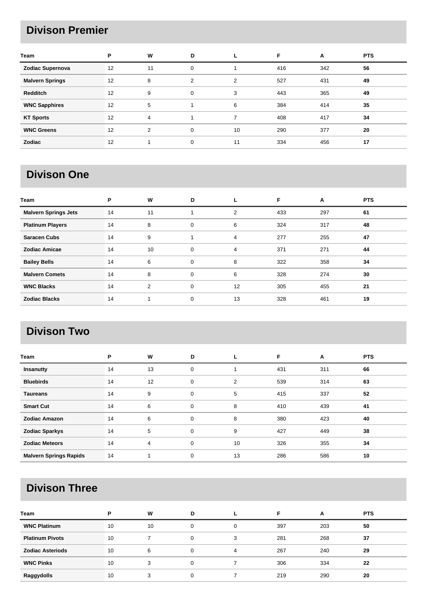### **Divison Premier**

| Team                   | P  | W  | D |    | F   | A   | <b>PTS</b> |
|------------------------|----|----|---|----|-----|-----|------------|
| Zodiac Supernova       | 12 | 11 | 0 |    | 416 | 342 | 56         |
| <b>Malvern Springs</b> | 12 | 8  | 2 | 2  | 527 | 431 | 49         |
| <b>Redditch</b>        | 12 | 9  | 0 | 3  | 443 | 365 | 49         |
| <b>WNC Sapphires</b>   | 12 | 5  |   | 6  | 384 | 414 | 35         |
| <b>KT Sports</b>       | 12 | 4  |   | 7  | 408 | 417 | 34         |
| <b>WNC Greens</b>      | 12 | 2  | 0 | 10 | 290 | 377 | 20         |
| Zodiac                 | 12 |    | 0 | 11 | 334 | 456 | 17         |

## **Divison One**

| Team                        | P  | W  | D           |    | F   | A   | <b>PTS</b> |
|-----------------------------|----|----|-------------|----|-----|-----|------------|
| <b>Malvern Springs Jets</b> | 14 | 11 |             | 2  | 433 | 297 | 61         |
| <b>Platinum Players</b>     | 14 | 8  | 0           | 6  | 324 | 317 | 48         |
| <b>Saracen Cubs</b>         | 14 | 9  |             | 4  | 277 | 255 | 47         |
| <b>Zodiac Amicae</b>        | 14 | 10 | 0           | 4  | 371 | 271 | 44         |
| <b>Bailey Bells</b>         | 14 | 6  | 0           | 8  | 322 | 358 | 34         |
| <b>Malvern Comets</b>       | 14 | 8  | 0           | 6  | 328 | 274 | 30         |
| <b>WNC Blacks</b>           | 14 | 2  | $\mathbf 0$ | 12 | 305 | 455 | 21         |
| <b>Zodiac Blacks</b>        | 14 |    | 0           | 13 | 328 | 461 | 19         |

### **Divison Two**

| Team                          | P  | W  | D           |                | F   | A   | <b>PTS</b> |
|-------------------------------|----|----|-------------|----------------|-----|-----|------------|
| Insanutty                     | 14 | 13 | $\mathbf 0$ | 4              | 431 | 311 | 66         |
| <b>Bluebirds</b>              | 14 | 12 | 0           | $\overline{2}$ | 539 | 314 | 63         |
| <b>Taureans</b>               | 14 | 9  | $\mathbf 0$ | 5              | 415 | 337 | 52         |
| <b>Smart Cut</b>              | 14 | 6  | $\mathbf 0$ | 8              | 410 | 439 | 41         |
| <b>Zodiac Amazon</b>          | 14 | 6  | 0           | 8              | 380 | 423 | 40         |
| <b>Zodiac Sparkys</b>         | 14 | 5  | $\mathbf 0$ | 9              | 427 | 449 | 38         |
| <b>Zodiac Meteors</b>         | 14 | 4  | 0           | 10             | 326 | 355 | 34         |
| <b>Malvern Springs Rapids</b> | 14 |    | 0           | 13             | 286 | 586 | 10         |

# **Divison Three**

| Team                    | P  | W  | D        |   | F   | A   | <b>PTS</b> |
|-------------------------|----|----|----------|---|-----|-----|------------|
| <b>WNC Platinum</b>     | 10 | 10 | 0        | 0 | 397 | 203 | 50         |
| <b>Platinum Pivots</b>  | 10 |    | $\Omega$ | 3 | 281 | 268 | 37         |
| <b>Zodiac Asteriods</b> | 10 | 6  | $\Omega$ | 4 | 267 | 240 | 29         |
| <b>WNC Pinks</b>        | 10 | 3  | $\Omega$ |   | 306 | 334 | 22         |
| Raggydolls              | 10 | 3  | $\Omega$ |   | 219 | 290 | 20         |